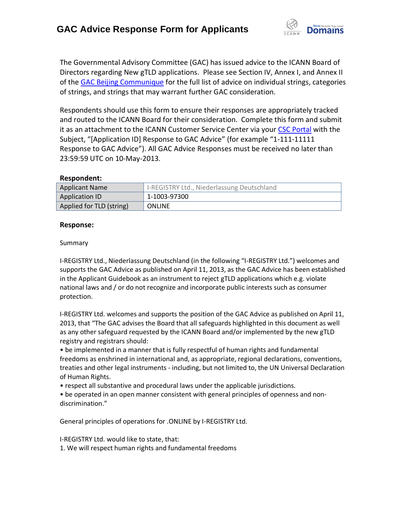

The Governmental Advisory Committee (GAC) has issued advice to the ICANN Board of Directors regarding New gTLD applications. Please see Section IV, Annex I, and Annex II of the [GAC Beijing Communique](http://www.icann.org/en/news/correspondence/gac-to-board-18apr13-en.pdf) for the full list of advice on individual strings, categories of strings, and strings that may warrant further GAC consideration.

Respondents should use this form to ensure their responses are appropriately tracked and routed to the ICANN Board for their consideration. Complete this form and submit it as an attachment to the ICANN Customer Service Center via your CSC [Portal](https://myicann.secure.force.com/) with the Subject, "[Application ID] Response to GAC Advice" (for example "1-111-11111 Response to GAC Advice"). All GAC Advice Responses must be received no later than 23:59:59 UTC on 10-May-2013.

### **Respondent:**

| <b>Applicant Name</b>    | I-REGISTRY Ltd., Niederlassung Deutschland |
|--------------------------|--------------------------------------------|
| Application ID           | 1-1003-97300                               |
| Applied for TLD (string) | <b>ONLINE</b>                              |

### **Response:**

### Summary

I-REGISTRY Ltd., Niederlassung Deutschland (in the following "I-REGISTRY Ltd.") welcomes and supports the GAC Advice as published on April 11, 2013, as the GAC Advice has been established in the Applicant Guidebook as an instrument to reject gTLD applications which e.g. violate national laws and / or do not recognize and incorporate public interests such as consumer protection.

I-REGISTRY Ltd. welcomes and supports the position of the GAC Advice as published on April 11, 2013, that "The GAC advises the Board that all safeguards highlighted in this document as well as any other safeguard requested by the ICANN Board and/or implemented by the new gTLD registry and registrars should:

• be implemented in a manner that is fully respectful of human rights and fundamental freedoms as enshrined in international and, as appropriate, regional declarations, conventions, treaties and other legal instruments - including, but not limited to, the UN Universal Declaration of Human Rights.

• respect all substantive and procedural laws under the applicable jurisdictions.

• be operated in an open manner consistent with general principles of openness and non‐ discrimination."

General principles of operations for .ONLINE by I-REGISTRY Ltd.

I-REGISTRY Ltd. would like to state, that: 1. We will respect human rights and fundamental freedoms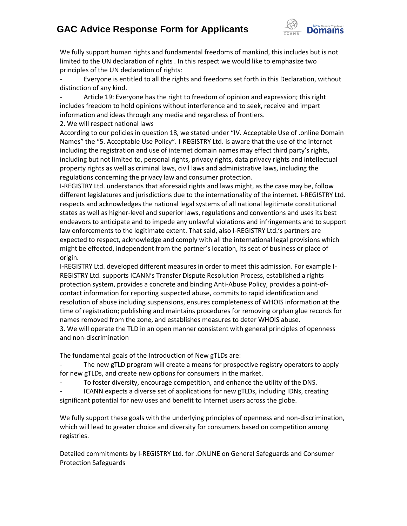# **GAC Advice Response Form for Applicants**



We fully support human rights and fundamental freedoms of mankind, this includes but is not limited to the UN declaration of rights . In this respect we would like to emphasize two principles of the UN declaration of rights:

Everyone is entitled to all the rights and freedoms set forth in this Declaration, without distinction of any kind.

Article 19: Everyone has the right to freedom of opinion and expression; this right includes freedom to hold opinions without interference and to seek, receive and impart information and ideas through any media and regardless of frontiers.

2. We will respect national laws

According to our policies in question 18, we stated under "IV. Acceptable Use of .online Domain Names" the "5. Acceptable Use Policy". I-REGISTRY Ltd. is aware that the use of the internet including the registration and use of internet domain names may effect third party's rights, including but not limited to, personal rights, privacy rights, data privacy rights and intellectual property rights as well as criminal laws, civil laws and administrative laws, including the regulations concerning the privacy law and consumer protection.

I-REGISTRY Ltd. understands that aforesaid rights and laws might, as the case may be, follow different legislatures and jurisdictions due to the internationality of the internet. I-REGISTRY Ltd. respects and acknowledges the national legal systems of all national legitimate constitutional states as well as higher-level and superior laws, regulations and conventions and uses its best endeavors to anticipate and to impede any unlawful violations and infringements and to support law enforcements to the legitimate extent. That said, also I-REGISTRY Ltd.'s partners are expected to respect, acknowledge and comply with all the international legal provisions which might be effected, independent from the partner's location, its seat of business or place of origin.

I-REGISTRY Ltd. developed different measures in order to meet this admission. For example I-REGISTRY Ltd. supports ICANN's Transfer Dispute Resolution Process, established a rights protection system, provides a concrete and binding Anti-Abuse Policy, provides a point-ofcontact information for reporting suspected abuse, commits to rapid identification and resolution of abuse including suspensions, ensures completeness of WHOIS information at the time of registration; publishing and maintains procedures for removing orphan glue records for names removed from the zone, and establishes measures to deter WHOIS abuse. 3. We will operate the TLD in an open manner consistent with general principles of openness and non‐discrimination

The fundamental goals of the Introduction of New gTLDs are:

The new gTLD program will create a means for prospective registry operators to apply for new gTLDs, and create new options for consumers in the market.

To foster diversity, encourage competition, and enhance the utility of the DNS.

ICANN expects a diverse set of applications for new gTLDs, including IDNs, creating significant potential for new uses and benefit to Internet users across the globe.

We fully support these goals with the underlying principles of openness and non-discrimination, which will lead to greater choice and diversity for consumers based on competition among registries.

Detailed commitments by I-REGISTRY Ltd. for .ONLINE on General Safeguards and Consumer Protection Safeguards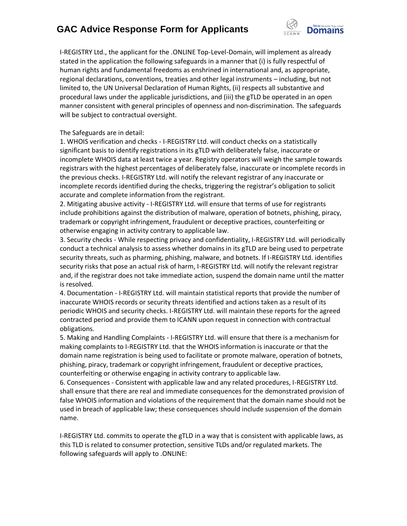## **GAC Advice Response Form for Applicants**



I-REGISTRY Ltd., the applicant for the .ONLINE Top-Level-Domain, will implement as already stated in the application the following safeguards in a manner that (i) is fully respectful of human rights and fundamental freedoms as enshrined in international and, as appropriate, regional declarations, conventions, treaties and other legal instruments – including, but not limited to, the UN Universal Declaration of Human Rights, (ii) respects all substantive and procedural laws under the applicable jurisdictions, and (iii) the gTLD be operated in an open manner consistent with general principles of openness and non‐discrimination. The safeguards will be subject to contractual oversight.

### The Safeguards are in detail:

1. WHOIS verification and checks - I-REGISTRY Ltd. will conduct checks on a statistically significant basis to identify registrations in its gTLD with deliberately false, inaccurate or incomplete WHOIS data at least twice a year. Registry operators will weigh the sample towards registrars with the highest percentages of deliberately false, inaccurate or incomplete records in the previous checks. I-REGISTRY Ltd. will notify the relevant registrar of any inaccurate or incomplete records identified during the checks, triggering the registrar's obligation to solicit accurate and complete information from the registrant.

2. Mitigating abusive activity - I-REGISTRY Ltd. will ensure that terms of use for registrants include prohibitions against the distribution of malware, operation of botnets, phishing, piracy, trademark or copyright infringement, fraudulent or deceptive practices, counterfeiting or otherwise engaging in activity contrary to applicable law.

3. Security checks - While respecting privacy and confidentiality, I-REGISTRY Ltd. will periodically conduct a technical analysis to assess whether domains in its gTLD are being used to perpetrate security threats, such as pharming, phishing, malware, and botnets. If I-REGISTRY Ltd. identifies security risks that pose an actual risk of harm, I-REGISTRY Ltd. will notify the relevant registrar and, if the registrar does not take immediate action, suspend the domain name until the matter is resolved.

4. Documentation - I-REGISTRY Ltd. will maintain statistical reports that provide the number of inaccurate WHOIS records or security threats identified and actions taken as a result of its periodic WHOIS and security checks. I-REGISTRY Ltd. will maintain these reports for the agreed contracted period and provide them to ICANN upon request in connection with contractual obligations.

5. Making and Handling Complaints - I-REGISTRY Ltd. will ensure that there is a mechanism for making complaints to I-REGISTRY Ltd. that the WHOIS information is inaccurate or that the domain name registration is being used to facilitate or promote malware, operation of botnets, phishing, piracy, trademark or copyright infringement, fraudulent or deceptive practices, counterfeiting or otherwise engaging in activity contrary to applicable law.

6. Consequences - Consistent with applicable law and any related procedures, I-REGISTRY Ltd. shall ensure that there are real and immediate consequences for the demonstrated provision of false WHOIS information and violations of the requirement that the domain name should not be used in breach of applicable law; these consequences should include suspension of the domain name.

I-REGISTRY Ltd. commits to operate the gTLD in a way that is consistent with applicable laws, as this TLD is related to consumer protection, sensitive TLDs and/or regulated markets. The following safeguards will apply to .ONLINE: